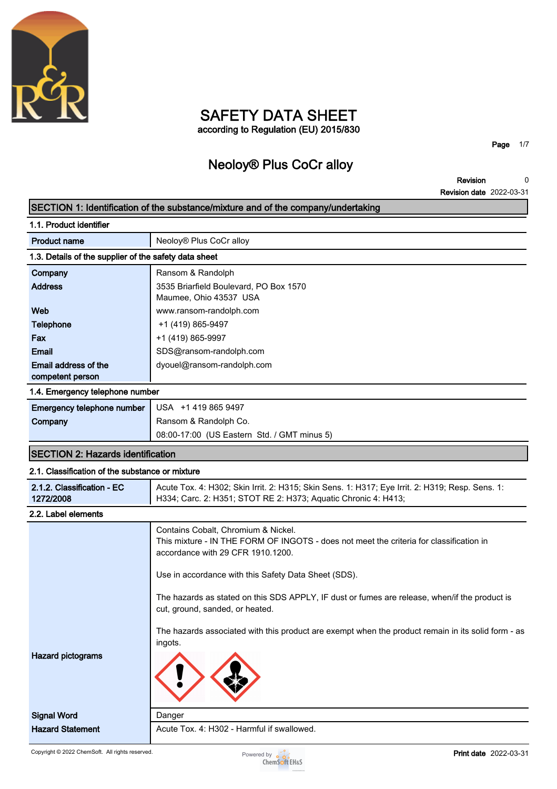

### **SAFETY DATA SHEET according to Regulation (EU) 2015/830**

**Neoloy® Plus CoCr alloy**

**Page 1/7**

**Revision Revision date 2022-03-31 0**

| SECTION 1: Identification of the substance/mixture and of the company/undertaking |                                                                                                                                                                     |  |  |  |
|-----------------------------------------------------------------------------------|---------------------------------------------------------------------------------------------------------------------------------------------------------------------|--|--|--|
| 1.1. Product identifier                                                           |                                                                                                                                                                     |  |  |  |
| <b>Product name</b>                                                               | Neoloy® Plus CoCr alloy                                                                                                                                             |  |  |  |
| 1.3. Details of the supplier of the safety data sheet                             |                                                                                                                                                                     |  |  |  |
| Company                                                                           | Ransom & Randolph                                                                                                                                                   |  |  |  |
| <b>Address</b>                                                                    | 3535 Briarfield Boulevard, PO Box 1570<br>Maumee, Ohio 43537 USA                                                                                                    |  |  |  |
| Web                                                                               | www.ransom-randolph.com                                                                                                                                             |  |  |  |
| <b>Telephone</b>                                                                  | +1 (419) 865-9497                                                                                                                                                   |  |  |  |
| Fax                                                                               | +1 (419) 865-9997                                                                                                                                                   |  |  |  |
| Email                                                                             | SDS@ransom-randolph.com                                                                                                                                             |  |  |  |
| Email address of the                                                              | dyouel@ransom-randolph.com                                                                                                                                          |  |  |  |
| competent person                                                                  |                                                                                                                                                                     |  |  |  |
| 1.4. Emergency telephone number                                                   | USA +1 419 865 9497                                                                                                                                                 |  |  |  |
| Emergency telephone number                                                        |                                                                                                                                                                     |  |  |  |
| Company                                                                           | Ransom & Randolph Co.<br>08:00-17:00 (US Eastern Std. / GMT minus 5)                                                                                                |  |  |  |
|                                                                                   |                                                                                                                                                                     |  |  |  |
| <b>SECTION 2: Hazards identification</b>                                          |                                                                                                                                                                     |  |  |  |
| 2.1. Classification of the substance or mixture                                   |                                                                                                                                                                     |  |  |  |
| 2.1.2. Classification - EC<br>1272/2008                                           | Acute Tox. 4: H302; Skin Irrit. 2: H315; Skin Sens. 1: H317; Eye Irrit. 2: H319; Resp. Sens. 1:<br>H334; Carc. 2: H351; STOT RE 2: H373; Aquatic Chronic 4: H413;   |  |  |  |
| 2.2. Label elements                                                               |                                                                                                                                                                     |  |  |  |
|                                                                                   | Contains Cobalt, Chromium & Nickel.<br>This mixture - IN THE FORM OF INGOTS - does not meet the criteria for classification in<br>accordance with 29 CFR 1910.1200. |  |  |  |
|                                                                                   | Use in accordance with this Safety Data Sheet (SDS).                                                                                                                |  |  |  |
|                                                                                   | The hazards as stated on this SDS APPLY, IF dust or fumes are release, when/if the product is<br>cut, ground, sanded, or heated.                                    |  |  |  |
|                                                                                   | The hazards associated with this product are exempt when the product remain in its solid form - as<br>ingots.                                                       |  |  |  |
| <b>Hazard pictograms</b>                                                          |                                                                                                                                                                     |  |  |  |
| <b>Signal Word</b>                                                                | Danger                                                                                                                                                              |  |  |  |
| <b>Hazard Statement</b>                                                           | Acute Tox. 4: H302 - Harmful if swallowed.                                                                                                                          |  |  |  |

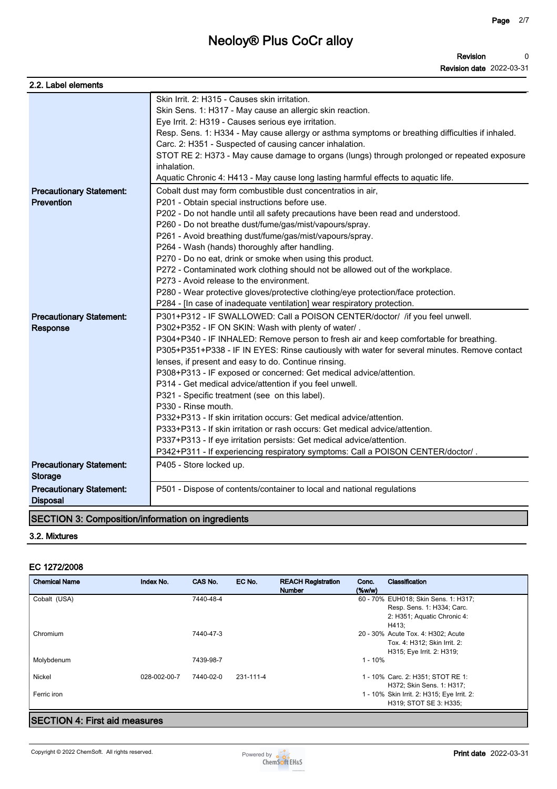**Revision Revision date 2022-03-31 0**

| 2.2. Label elements                                |                                                                                                  |
|----------------------------------------------------|--------------------------------------------------------------------------------------------------|
|                                                    | Skin Irrit. 2: H315 - Causes skin irritation.                                                    |
|                                                    | Skin Sens. 1: H317 - May cause an allergic skin reaction.                                        |
|                                                    | Eye Irrit. 2: H319 - Causes serious eye irritation.                                              |
|                                                    | Resp. Sens. 1: H334 - May cause allergy or asthma symptoms or breathing difficulties if inhaled. |
|                                                    | Carc. 2: H351 - Suspected of causing cancer inhalation.                                          |
|                                                    | STOT RE 2: H373 - May cause damage to organs (lungs) through prolonged or repeated exposure      |
|                                                    | inhalation.                                                                                      |
|                                                    | Aquatic Chronic 4: H413 - May cause long lasting harmful effects to aquatic life.                |
| <b>Precautionary Statement:</b>                    | Cobalt dust may form combustible dust concentratios in air,                                      |
| Prevention                                         | P201 - Obtain special instructions before use.                                                   |
|                                                    | P202 - Do not handle until all safety precautions have been read and understood.                 |
|                                                    | P260 - Do not breathe dust/fume/gas/mist/vapours/spray.                                          |
|                                                    | P261 - Avoid breathing dust/fume/gas/mist/vapours/spray.                                         |
|                                                    | P264 - Wash (hands) thoroughly after handling.                                                   |
|                                                    | P270 - Do no eat, drink or smoke when using this product.                                        |
|                                                    | P272 - Contaminated work clothing should not be allowed out of the workplace.                    |
|                                                    | P273 - Avoid release to the environment.                                                         |
|                                                    | P280 - Wear protective gloves/protective clothing/eye protection/face protection.                |
|                                                    | P284 - [In case of inadequate ventilation] wear respiratory protection.                          |
| <b>Precautionary Statement:</b>                    | P301+P312 - IF SWALLOWED: Call a POISON CENTER/doctor/ /if you feel unwell.                      |
| Response                                           | P302+P352 - IF ON SKIN: Wash with plenty of water/.                                              |
|                                                    | P304+P340 - IF INHALED: Remove person to fresh air and keep comfortable for breathing.           |
|                                                    | P305+P351+P338 - IF IN EYES: Rinse cautiously with water for several minutes. Remove contact     |
|                                                    | lenses, if present and easy to do. Continue rinsing.                                             |
|                                                    | P308+P313 - IF exposed or concerned: Get medical advice/attention.                               |
|                                                    | P314 - Get medical advice/attention if you feel unwell.                                          |
|                                                    | P321 - Specific treatment (see on this label).                                                   |
|                                                    | P330 - Rinse mouth.                                                                              |
|                                                    | P332+P313 - If skin irritation occurs: Get medical advice/attention.                             |
|                                                    | P333+P313 - If skin irritation or rash occurs: Get medical advice/attention.                     |
|                                                    | P337+P313 - If eye irritation persists: Get medical advice/attention.                            |
|                                                    | P342+P311 - If experiencing respiratory symptoms: Call a POISON CENTER/doctor/.                  |
| <b>Precautionary Statement:</b><br><b>Storage</b>  | P405 - Store locked up.                                                                          |
| <b>Precautionary Statement:</b><br><b>Disposal</b> | P501 - Dispose of contents/container to local and national regulations                           |

### **SECTION 3: Composition/information on ingredients**

**3.2. Mixtures**

#### **EC 1272/2008**

| <b>Chemical Name</b> | Index No.    | CAS No.   | EC No.    | <b>REACH Registration</b><br><b>Number</b> | Conc.<br>(% | Classification                                                     |
|----------------------|--------------|-----------|-----------|--------------------------------------------|-------------|--------------------------------------------------------------------|
| Cobalt (USA)         |              | 7440-48-4 |           |                                            |             | 60 - 70% EUH018; Skin Sens. 1: H317;<br>Resp. Sens. 1: H334; Carc. |
|                      |              |           |           |                                            |             | 2: H351; Aquatic Chronic 4:                                        |
|                      |              |           |           |                                            |             | H413;                                                              |
| Chromium             |              | 7440-47-3 |           |                                            |             | 20 - 30% Acute Tox. 4: H302; Acute                                 |
|                      |              |           |           |                                            |             | Tox. 4: H312; Skin Irrit. 2:                                       |
|                      |              |           |           |                                            |             | H315; Eye Irrit. 2: H319;                                          |
| Molybdenum           |              | 7439-98-7 |           |                                            | $1 - 10%$   |                                                                    |
| Nickel               | 028-002-00-7 | 7440-02-0 | 231-111-4 |                                            |             | 1 - 10% Carc. 2: H351; STOT RE 1:                                  |
|                      |              |           |           |                                            |             | H372; Skin Sens. 1: H317;                                          |
| Ferric iron          |              |           |           |                                            |             | 1 - 10% Skin Irrit. 2: H315; Eye Irrit. 2:                         |
|                      |              |           |           |                                            |             | H319; STOT SE 3: H335;                                             |
|                      |              |           |           |                                            |             |                                                                    |

### **SECTION 4: First aid measures**

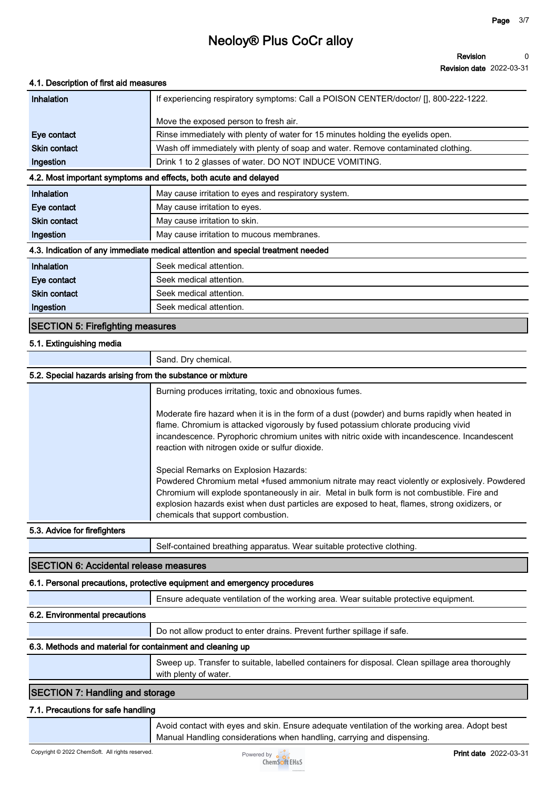**Revision Revision date 2022-03-31 0**

#### **4.1. Description of first aid measures**

| <b>Inhalation</b>                                                               | If experiencing respiratory symptoms: Call a POISON CENTER/doctor/ [], 800-222-1222. |  |  |
|---------------------------------------------------------------------------------|--------------------------------------------------------------------------------------|--|--|
|                                                                                 | Move the exposed person to fresh air.                                                |  |  |
| Eye contact                                                                     | Rinse immediately with plenty of water for 15 minutes holding the eyelids open.      |  |  |
| <b>Skin contact</b>                                                             | Wash off immediately with plenty of soap and water. Remove contaminated clothing.    |  |  |
| Ingestion                                                                       | Drink 1 to 2 glasses of water. DO NOT INDUCE VOMITING.                               |  |  |
|                                                                                 | 4.2. Most important symptoms and effects, both acute and delayed                     |  |  |
| <b>Inhalation</b>                                                               | May cause irritation to eyes and respiratory system.                                 |  |  |
| Eye contact                                                                     | May cause irritation to eyes.                                                        |  |  |
| <b>Skin contact</b>                                                             | May cause irritation to skin.                                                        |  |  |
| Ingestion                                                                       | May cause irritation to mucous membranes.                                            |  |  |
| 4.3. Indication of any immediate medical attention and special treatment needed |                                                                                      |  |  |
| Inhalation                                                                      | Seek medical attention.                                                              |  |  |
| Eye contact                                                                     | Seek medical attention.                                                              |  |  |
| <b>Skin contact</b>                                                             | Seek medical attention.                                                              |  |  |
| Ingestion                                                                       | Seek medical attention.                                                              |  |  |

#### **SECTION 5: Firefighting measures**

| 5.1. Extinguishing media                                   |                                                                                                                                                                                                                                                                                                                                                                             |  |  |  |
|------------------------------------------------------------|-----------------------------------------------------------------------------------------------------------------------------------------------------------------------------------------------------------------------------------------------------------------------------------------------------------------------------------------------------------------------------|--|--|--|
|                                                            | Sand. Dry chemical.                                                                                                                                                                                                                                                                                                                                                         |  |  |  |
| 5.2. Special hazards arising from the substance or mixture |                                                                                                                                                                                                                                                                                                                                                                             |  |  |  |
|                                                            | Burning produces irritating, toxic and obnoxious fumes.                                                                                                                                                                                                                                                                                                                     |  |  |  |
|                                                            | Moderate fire hazard when it is in the form of a dust (powder) and burns rapidly when heated in<br>flame. Chromium is attacked vigorously by fused potassium chlorate producing vivid<br>incandescence. Pyrophoric chromium unites with nitric oxide with incandescence. Incandescent<br>reaction with nitrogen oxide or sulfur dioxide.                                    |  |  |  |
|                                                            | Special Remarks on Explosion Hazards:<br>Powdered Chromium metal +fused ammonium nitrate may react violently or explosively. Powdered<br>Chromium will explode spontaneously in air. Metal in bulk form is not combustible. Fire and<br>explosion hazards exist when dust particles are exposed to heat, flames, strong oxidizers, or<br>chemicals that support combustion. |  |  |  |
| 5.3. Advice for firefighters                               |                                                                                                                                                                                                                                                                                                                                                                             |  |  |  |

**Self-contained breathing apparatus. Wear suitable protective clothing.**

#### **SECTION 6: Accidental release measures**

#### **6.1. Personal precautions, protective equipment and emergency procedures**

**Ensure adequate ventilation of the working area. Wear suitable protective equipment.**

#### **6.2. Environmental precautions**

**Do not allow product to enter drains. Prevent further spillage if safe.**

#### **6.3. Methods and material for containment and cleaning up**

| Sweep up. Transfer to suitable, labelled containers for disposal. Clean spillage area thoroughly<br>with plenty of water. |
|---------------------------------------------------------------------------------------------------------------------------|
|                                                                                                                           |

### **SECTION 7: Handling and storage**

#### **7.1. Precautions for safe handling**

**Avoid contact with eyes and skin. Ensure adequate ventilation of the working area. Adopt best Manual Handling considerations when handling, carrying and dispensing.**

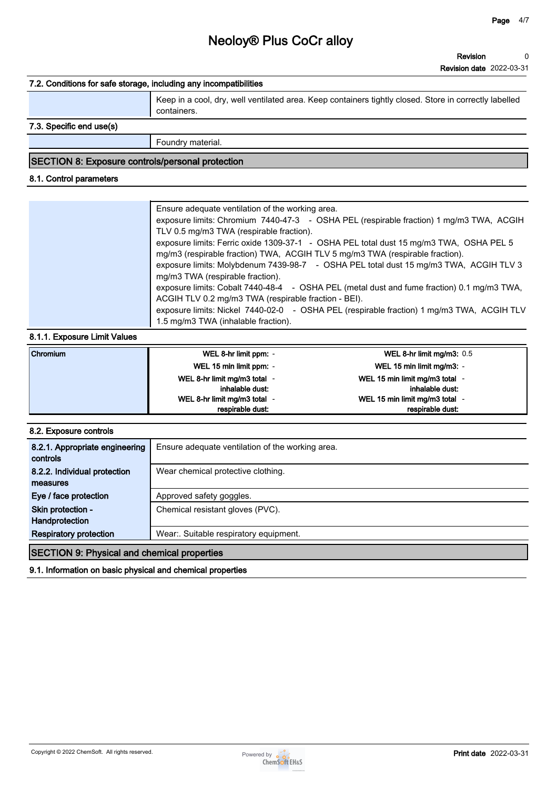### **7.2. Conditions for safe storage, including any incompatibilities Keep in a cool, dry, well ventilated area. Keep containers tightly closed. Store in correctly labelled containers.**

### **7.3. Specific end use(s)**

**Foundry material.**

#### **SECTION 8: Exposure controls/personal protection**

#### **8.1. Control parameters**

| Ensure adequate ventilation of the working area.                                           |
|--------------------------------------------------------------------------------------------|
|                                                                                            |
| exposure limits: Chromium 7440-47-3 - OSHA PEL (respirable fraction) 1 mg/m3 TWA, ACGIH    |
| TLV 0.5 mg/m3 TWA (respirable fraction).                                                   |
| exposure limits: Ferric oxide 1309-37-1 - OSHA PEL total dust 15 mg/m3 TWA, OSHA PEL 5     |
| mg/m3 (respirable fraction) TWA, ACGIH TLV 5 mg/m3 TWA (respirable fraction).              |
| exposure limits: Molybdenum 7439-98-7 - OSHA PEL total dust 15 mg/m3 TWA, ACGIH TLV 3      |
| mg/m3 TWA (respirable fraction).                                                           |
| exposure limits: Cobalt 7440-48-4 - OSHA PEL (metal dust and fume fraction) 0.1 mg/m3 TWA, |
| ACGIH TLV 0.2 mg/m3 TWA (respirable fraction - BEI).                                       |
| exposure limits: Nickel 7440-02-0 - OSHA PEL (respirable fraction) 1 mg/m3 TWA, ACGIH TLV  |
| 1.5 mg/m3 TWA (inhalable fraction).                                                        |

#### **8.1.1. Exposure Limit Values**

| Chromium | WEL 8-hr limit ppm: -      | WEL 8-hr limit mg/m3: $0.5$  |
|----------|----------------------------|------------------------------|
|          | WEL 15 min limit ppm: -    | WEL 15 min limit mg/m3: -    |
|          | WEL 8-hr limit mg/m3 total | WEL 15 min limit mg/m3 total |
|          | inhalable dust:            | inhalable dust:              |
|          | WEL 8-hr limit mg/m3 total | WEL 15 min limit mg/m3 total |
|          | respirable dust:           | respirable dust:             |

#### **8.2. Exposure controls**

| 8.2.1. Appropriate engineering<br>controls         | Ensure adequate ventilation of the working area. |  |
|----------------------------------------------------|--------------------------------------------------|--|
| 8.2.2. Individual protection<br>measures           | Wear chemical protective clothing.               |  |
| Eye / face protection                              | Approved safety goggles.                         |  |
| Skin protection -<br>Handprotection                | Chemical resistant gloves (PVC).                 |  |
| <b>Respiratory protection</b>                      | Wear:. Suitable respiratory equipment.           |  |
| <b>SECTION 9: Physical and chemical properties</b> |                                                  |  |

**9.1. Information on basic physical and chemical properties**

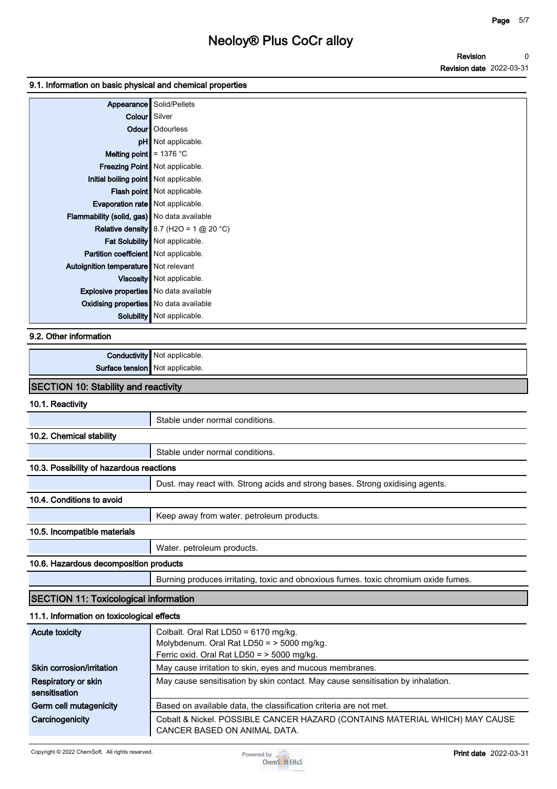#### **9.1. Information on basic physical and chemical properties**

| Appearance                                    | Solid/Pellets                            |
|-----------------------------------------------|------------------------------------------|
| <b>Colour</b> Silver                          |                                          |
|                                               | <b>Odour</b>   Odourless                 |
|                                               | pH   Not applicable.                     |
| <b>Melting point</b> $\vert$ = 1376 °C        |                                          |
|                                               | <b>Freezing Point</b> Not applicable.    |
| Initial boiling point   Not applicable.       |                                          |
|                                               | Flash point   Not applicable.            |
| Evaporation rate   Not applicable.            |                                          |
| Flammability (solid, gas)   No data available |                                          |
|                                               | Relative density 8.7 (H2O = 1 $@$ 20 °C) |
|                                               | Fat Solubility   Not applicable.         |
| Partition coefficient   Not applicable.       |                                          |
| Autoignition temperature   Not relevant       |                                          |
|                                               | Viscosity   Not applicable.              |
| Explosive properties   No data available      |                                          |
| <b>Oxidising properties</b> No data available |                                          |
|                                               | <b>Solubility</b> Not applicable.        |

#### **9.2. Other information**

| Conductivity | applicable.<br>NM |
|--------------|-------------------|
| Surfoco      | NM                |
| <b>DL</b>    | applicable.       |
| . к. вкл     | $ -$              |

### **SECTION 10: Stability and reactivity**

#### **10.1. Reactivity**

|                                              | Stable under normal conditions.                                                     |  |  |  |
|----------------------------------------------|-------------------------------------------------------------------------------------|--|--|--|
| 10.2. Chemical stability                     |                                                                                     |  |  |  |
|                                              | Stable under normal conditions.                                                     |  |  |  |
| 10.3. Possibility of hazardous reactions     |                                                                                     |  |  |  |
|                                              | Dust. may react with. Strong acids and strong bases. Strong oxidising agents.       |  |  |  |
| 10.4. Conditions to avoid                    |                                                                                     |  |  |  |
|                                              | Keep away from water. petroleum products.                                           |  |  |  |
| 10.5. Incompatible materials                 |                                                                                     |  |  |  |
|                                              | Water. petroleum products.                                                          |  |  |  |
| 10.6. Hazardous decomposition products       |                                                                                     |  |  |  |
|                                              | Burning produces irritating, toxic and obnoxious fumes. toxic chromium oxide fumes. |  |  |  |
| <b>SECTION 11: Toxicological information</b> |                                                                                     |  |  |  |

#### **11.1. Information on toxicological effects**

| Acute toxicity                       | Colbalt. Oral Rat LD50 = 6170 mg/kg.                                            |
|--------------------------------------|---------------------------------------------------------------------------------|
|                                      | Molybdenum. Oral Rat LD50 = > 5000 mg/kg.                                       |
|                                      | Ferric oxid. Oral Rat LD50 = > 5000 mg/kg.                                      |
| Skin corrosion/irritation            | May cause irritation to skin, eyes and mucous membranes.                        |
| Respiratory or skin<br>sensitisation | May cause sensitisation by skin contact. May cause sensitisation by inhalation. |
| Germ cell mutagenicity               | Based on available data, the classification criteria are not met.               |
| Carcinogenicity                      | Cobalt & Nickel. POSSIBLE CANCER HAZARD (CONTAINS MATERIAL WHICH) MAY CAUSE     |
|                                      | CANCER BASED ON ANIMAL DATA.                                                    |

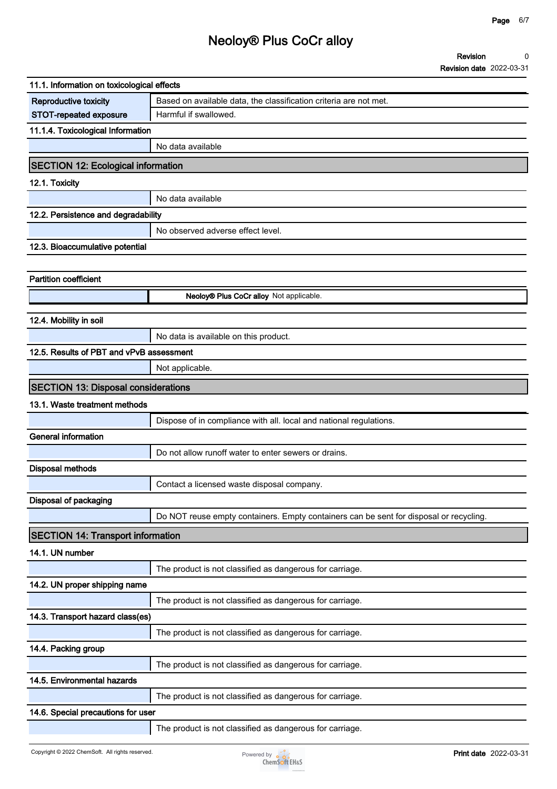|                                            | <b>Revision date</b> 2022-03-31                                                        |  |  |
|--------------------------------------------|----------------------------------------------------------------------------------------|--|--|
| 11.1. Information on toxicological effects |                                                                                        |  |  |
| Reproductive toxicity                      | Based on available data, the classification criteria are not met.                      |  |  |
| STOT-repeated exposure                     | Harmful if swallowed.                                                                  |  |  |
| 11.1.4. Toxicological Information          |                                                                                        |  |  |
|                                            | No data available                                                                      |  |  |
| <b>SECTION 12: Ecological information</b>  |                                                                                        |  |  |
| 12.1. Toxicity                             |                                                                                        |  |  |
|                                            | No data available                                                                      |  |  |
| 12.2. Persistence and degradability        |                                                                                        |  |  |
|                                            | No observed adverse effect level.                                                      |  |  |
| 12.3. Bioaccumulative potential            |                                                                                        |  |  |
|                                            |                                                                                        |  |  |
| <b>Partition coefficient</b>               |                                                                                        |  |  |
|                                            | Neoloy® Plus CoCr alloy Not applicable.                                                |  |  |
| 12.4. Mobility in soil                     |                                                                                        |  |  |
|                                            | No data is available on this product.                                                  |  |  |
| 12.5. Results of PBT and vPvB assessment   |                                                                                        |  |  |
|                                            | Not applicable.                                                                        |  |  |
| <b>SECTION 13: Disposal considerations</b> |                                                                                        |  |  |
| 13.1. Waste treatment methods              |                                                                                        |  |  |
|                                            | Dispose of in compliance with all. local and national regulations.                     |  |  |
| <b>General information</b>                 |                                                                                        |  |  |
|                                            | Do not allow runoff water to enter sewers or drains.                                   |  |  |
| <b>Disposal methods</b>                    |                                                                                        |  |  |
|                                            | Contact a licensed waste disposal company.                                             |  |  |
| Disposal of packaging                      |                                                                                        |  |  |
|                                            | Do NOT reuse empty containers. Empty containers can be sent for disposal or recycling. |  |  |
| <b>SECTION 14: Transport information</b>   |                                                                                        |  |  |
| 14.1. UN number                            |                                                                                        |  |  |
|                                            | The product is not classified as dangerous for carriage.                               |  |  |
| 14.2. UN proper shipping name              |                                                                                        |  |  |
|                                            | The product is not classified as dangerous for carriage.                               |  |  |
| 14.3. Transport hazard class(es)           |                                                                                        |  |  |
|                                            | The product is not classified as dangerous for carriage.                               |  |  |
| 14.4. Packing group                        |                                                                                        |  |  |
|                                            | The product is not classified as dangerous for carriage.                               |  |  |
| 14.5. Environmental hazards                |                                                                                        |  |  |
|                                            | The product is not classified as dangerous for carriage.                               |  |  |
| 14.6. Special precautions for user         |                                                                                        |  |  |
|                                            |                                                                                        |  |  |